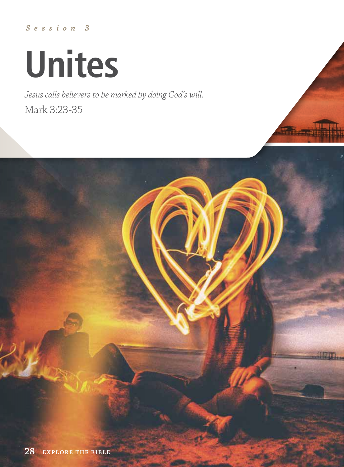*Session 3*

# **Unites**

*Jesus calls believers to be marked by doing God's will.* Mark 3:23-35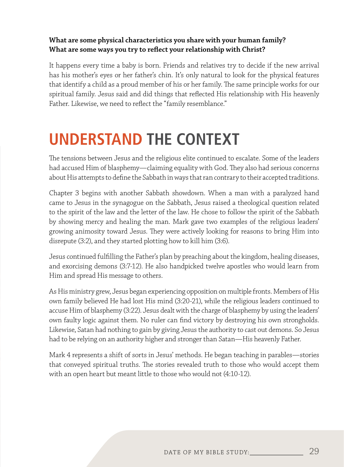#### **What are some physical characteristics you share with your human family? What are some ways you try to reflect your relationship with Christ?**

It happens every time a baby is born. Friends and relatives try to decide if the new arrival has his mother's eyes or her father's chin. It's only natural to look for the physical features that identify a child as a proud member of his or her family. The same principle works for our spiritual family. Jesus said and did things that reflected His relationship with His heavenly Father. Likewise, we need to reflect the "family resemblance."

### **UNDERSTAND THE CONTEXT**

The tensions between Jesus and the religious elite continued to escalate. Some of the leaders had accused Him of blasphemy—claiming equality with God. They also had serious concerns about His attempts to define the Sabbath in ways that ran contrary to their accepted traditions.

Chapter 3 begins with another Sabbath showdown. When a man with a paralyzed hand came to Jesus in the synagogue on the Sabbath, Jesus raised a theological question related to the spirit of the law and the letter of the law. He chose to follow the spirit of the Sabbath by showing mercy and healing the man. Mark gave two examples of the religious leaders' growing animosity toward Jesus. They were actively looking for reasons to bring Him into disrepute (3:2), and they started plotting how to kill him (3:6).

Jesus continued fulfilling the Father's plan by preaching about the kingdom, healing diseases, and exorcising demons (3:7-12). He also handpicked twelve apostles who would learn from Him and spread His message to others.

As His ministry grew, Jesus began experiencing opposition on multiple fronts. Members of His own family believed He had lost His mind (3:20-21), while the religious leaders continued to accuse Him of blasphemy (3:22). Jesus dealt with the charge of blasphemy by using the leaders' own faulty logic against them. No ruler can find victory by destroying his own strongholds. Likewise, Satan had nothing to gain by giving Jesus the authority to cast out demons. So Jesus had to be relying on an authority higher and stronger than Satan—His heavenly Father.

Mark 4 represents a shift of sorts in Jesus' methods. He began teaching in parables—stories that conveyed spiritual truths. The stories revealed truth to those who would accept them with an open heart but meant little to those who would not (4:10-12).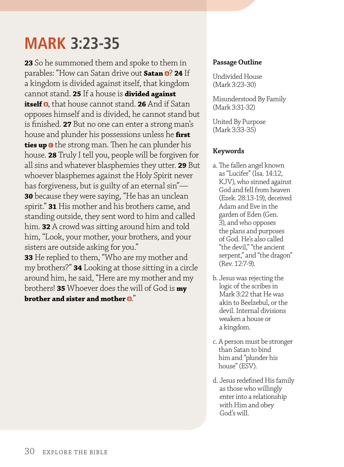### **MARK 3:23-35**

**23** So he summoned them and spoke to them in parables: "How can Satan drive out **Satan @? 24** If a kingdom is divided against itself, that kingdom cannot stand. **25** If a house is **divided against itself ®,** that house cannot stand. 26 And if Satan opposes himself and is divided, he cannot stand but is finished. **27** But no one can enter a strong man's house and plunder his possessions unless he **first ties up G** the strong man. Then he can plunder his house. **28** Truly I tell you, people will be forgiven for all sins and whatever blasphemies they utter. **29** But whoever blasphemes against the Holy Spirit never has forgiveness, but is guilty of an eternal sin"— **30** because they were saying, "He has an unclean spirit." **31** His mother and his brothers came, and standing outside, they sent word to him and called him. **32** A crowd was sitting around him and told him, "Look, your mother, your brothers, and your sisters are outside asking for you."

**33** He replied to them, "Who are my mother and my brothers?" **34** Looking at those sitting in a circle around him, he said, "Here are my mother and my brothers! **35** Whoever does the will of God is **my brother and sister and mother**  $\mathbf{D}$ "

#### **Passage Outline**

Undivided House (Mark 3:23-30)

Misunderstood By Family (Mark 3:31-32)

United By Purpose (Mark 3:33-35)

#### **Keywords**

- a. The fallen angel known as "Lucifer" (Isa. 14:12, KJV), who sinned against God and fell from heaven (Ezek. 28:13-19), deceived Adam and Eve in the garden of Eden (Gen. 3), and who opposes the plans and purposes of God. He's also called "the devil," "the ancient serpent," and "the dragon" (Rev. 12:7-9).
- b. Jesus was rejecting the logic of the scribes in Mark 3:22 that He was akin to Beelzebul, or the devil. Internal divisions weaken a house or a kingdom.
- c. A person must be stronger than Satan to bind him and "plunder his house" (ESV).
- d. Jesus redefined His family as those who willingly enter into a relationship with Him and obey God's will.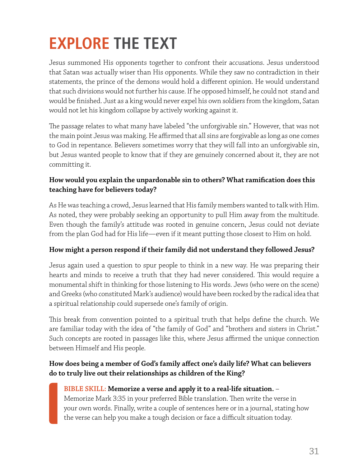# **EXPLORE THE TEXT**

Jesus summoned His opponents together to confront their accusations. Jesus understood that Satan was actually wiser than His opponents. While they saw no contradiction in their statements, the prince of the demons would hold a different opinion. He would understand that such divisions would not further his cause. If he opposed himself, he could not stand and would be finished. Just as a king would never expel his own soldiers from the kingdom, Satan would not let his kingdom collapse by actively working against it.

The passage relates to what many have labeled "the unforgivable sin." However, that was not the main point Jesus was making. He affirmed that all sins are forgivable as long as one comes to God in repentance. Believers sometimes worry that they will fall into an unforgivable sin, but Jesus wanted people to know that if they are genuinely concerned about it, they are not committing it.

#### **How would you explain the unpardonable sin to others? What ramification does this teaching have for believers today?**

As He was teaching a crowd, Jesus learned that His family members wanted to talk with Him. As noted, they were probably seeking an opportunity to pull Him away from the multitude. Even though the family's attitude was rooted in genuine concern, Jesus could not deviate from the plan God had for His life—even if it meant putting those closest to Him on hold.

#### **How might a person respond if their family did not understand they followed Jesus?**

Jesus again used a question to spur people to think in a new way. He was preparing their hearts and minds to receive a truth that they had never considered. This would require a monumental shift in thinking for those listening to His words. Jews (who were on the scene) and Greeks (who constituted Mark's audience) would have been rocked by the radical idea that a spiritual relationship could supersede one's family of origin.

This break from convention pointed to a spiritual truth that helps define the church. We are familiar today with the idea of "the family of God" and "brothers and sisters in Christ." Such concepts are rooted in passages like this, where Jesus affirmed the unique connection between Himself and His people.

#### **How does being a member of God's family affect one's daily life? What can believers do to truly live out their relationships as children of the King?**

#### **BIBLE SKILL: Memorize a verse and apply it to a real-life situation.** –

Memorize Mark 3:35 in your preferred Bible translation. Then write the verse in your own words. Finally, write a couple of sentences here or in a journal, stating how the verse can help you make a tough decision or face a difficult situation today.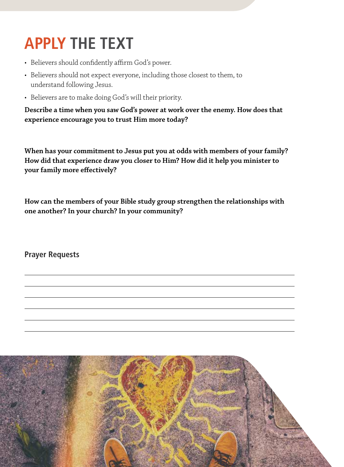# **APPLY THE TEXT**

- Believers should confidently affirm God's power.
- Believers should not expect everyone, including those closest to them, to understand following Jesus.
- Believers are to make doing God's will their priority.

**Describe a time when you saw God's power at work over the enemy. How does that experience encourage you to trust Him more today?**

**When has your commitment to Jesus put you at odds with members of your family? How did that experience draw you closer to Him? How did it help you minister to your family more effectively?**

**How can the members of your Bible study group strengthen the relationships with one another? In your church? In your community?**

**Prayer Requests**

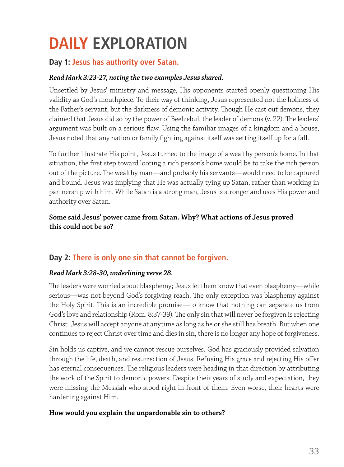## **DAILY EXPLORATION**

#### **Day 1: Jesus has authority over Satan.**

#### *Read Mark 3:23-27, noting the two examples Jesus shared.*

Unsettled by Jesus' ministry and message, His opponents started openly questioning His validity as God's mouthpiece. To their way of thinking, Jesus represented not the holiness of the Father's servant, but the darkness of demonic activity. Though He cast out demons, they claimed that Jesus did so by the power of Beelzebul, the leader of demons (v. 22). The leaders' argument was built on a serious flaw. Using the familiar images of a kingdom and a house, Jesus noted that any nation or family fighting against itself was setting itself up for a fall.

To further illustrate His point, Jesus turned to the image of a wealthy person's home. In that situation, the first step toward looting a rich person's home would be to take the rich person out of the picture. The wealthy man—and probably his servants—would need to be captured and bound. Jesus was implying that He was actually tying up Satan, rather than working in partnership with him. While Satan is a strong man, Jesus is stronger and uses His power and authority over Satan.

#### **Some said Jesus' power came from Satan. Why? What actions of Jesus proved this could not be so?**

#### **Day 2: There is only one sin that cannot be forgiven.**

#### *Read Mark 3:28-30, underlining verse 28.*

The leaders were worried about blasphemy; Jesus let them know that even blasphemy—while serious—was not beyond God's forgiving reach. The only exception was blasphemy against the Holy Spirit. This is an incredible promise—to know that nothing can separate us from God's love and relationship (Rom. 8:37-39). The only sin that will never be forgiven is rejecting Christ. Jesus will accept anyone at anytime as long as he or she still has breath. But when one continues to reject Christ over time and dies in sin, there is no longer any hope of forgiveness.

Sin holds us captive, and we cannot rescue ourselves. God has graciously provided salvation through the life, death, and resurrection of Jesus. Refusing His grace and rejecting His offer has eternal consequences. The religious leaders were heading in that direction by attributing the work of the Spirit to demonic powers. Despite their years of study and expectation, they were missing the Messiah who stood right in front of them. Even worse, their hearts were hardening against Him.

#### **How would you explain the unpardonable sin to others?**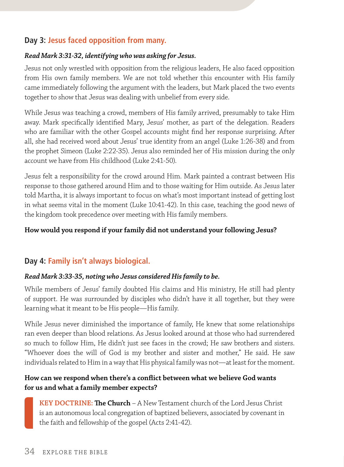#### **Day 3: Jesus faced opposition from many.**

#### *Read Mark 3:31-32, identifying who was asking for Jesus.*

Jesus not only wrestled with opposition from the religious leaders, He also faced opposition from His own family members. We are not told whether this encounter with His family came immediately following the argument with the leaders, but Mark placed the two events together to show that Jesus was dealing with unbelief from every side.

While Jesus was teaching a crowd, members of His family arrived, presumably to take Him away. Mark specifically identified Mary, Jesus' mother, as part of the delegation. Readers who are familiar with the other Gospel accounts might find her response surprising. After all, she had received word about Jesus' true identity from an angel (Luke 1:26-38) and from the prophet Simeon (Luke 2:22-35). Jesus also reminded her of His mission during the only account we have from His childhood (Luke 2:41-50).

Jesus felt a responsibility for the crowd around Him. Mark painted a contrast between His response to those gathered around Him and to those waiting for Him outside. As Jesus later told Martha, it is always important to focus on what's most important instead of getting lost in what seems vital in the moment (Luke 10:41-42). In this case, teaching the good news of the kingdom took precedence over meeting with His family members.

#### **How would you respond if your family did not understand your following Jesus?**

#### **Day 4: Family isn't always biological.**

#### *Read Mark 3:33-35, noting who Jesus considered His family to be.*

While members of Jesus' family doubted His claims and His ministry, He still had plenty of support. He was surrounded by disciples who didn't have it all together, but they were learning what it meant to be His people—His family.

While Jesus never diminished the importance of family, He knew that some relationships ran even deeper than blood relations. As Jesus looked around at those who had surrendered so much to follow Him, He didn't just see faces in the crowd; He saw brothers and sisters. "Whoever does the will of God is my brother and sister and mother," He said. He saw individuals related to Him in a way that His physical family was not—at least for the moment.

#### **How can we respond when there's a conflict between what we believe God wants for us and what a family member expects?**

**KEY DOCTRINE: The Church** – A New Testament church of the Lord Jesus Christ is an autonomous local congregation of baptized believers, associated by covenant in the faith and fellowship of the gospel (Acts 2:41-42).